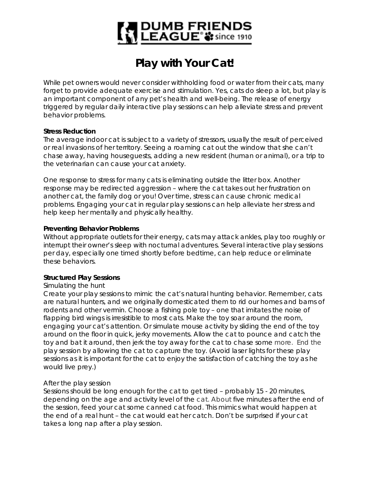

# **Play with Your Cat!**

While pet owners would never consider withholding food or water from their cats, many forget to provide adequate exercise and stimulation. Yes, cats do sleep a lot, but play is an important component of any pet's health and well-being. The release of energy triggered by regular daily interactive play sessions can help alleviate stress and prevent behavior problems.

#### **Stress Reduction**

The average indoor cat is subject to a variety of stressors, usually the result of perceived or real invasions of her territory. Seeing a roaming cat out the window that she can't chase away, having houseguests, adding a new resident (human or animal), or a trip to the veterinarian can cause your cat anxiety.

One response to stress for many cats is eliminating outside the litter box. Another response may be redirected aggression – where the cat takes out her frustration on another cat, the family dog or you! Over time, stress can cause chronic medical problems. Engaging your cat in regular play sessions can help alleviate her stress and help keep her mentally and physically healthy.

#### **Preventing Behavior Problems**

Without appropriate outlets for their energy, cats may attack ankles, play too roughly or interrupt their owner's sleep with nocturnal adventures. Several interactive play sessions per day, especially one timed shortly before bedtime, can help reduce or eliminate these behaviors.

#### **Structured Play Sessions**

#### *Simulating the hunt*

Create your play sessions to mimic the cat's natural hunting behavior. Remember, cats are natural hunters, and we originally domesticated them to rid our homes and barns of rodents and other vermin. Choose a fishing pole toy – one that imitates the noise of flapping bird wings is irresistible to most cats. Make the toy soar around the room, engaging your cat's attention. Or simulate mouse activity by sliding the end of the toy around on the floor in quick, jerky movements. Allow the cat to pounce and catch the toy and bat it around, then jerk the toy away for the cat to chase some more. End the play session by allowing the cat to capture the toy. (Avoid laser lights for these play sessions as it is important for the cat to enjoy the satisfaction of catching the toy as he would live prey.)

#### *After the play session*

Sessions should be long enough for the cat to get tired – probably 15 - 20 minutes, depending on the age and activity level of the cat. About five minutes after the end of the session, feed your cat some canned cat food. This mimics what would happen at the end of a real hunt – the cat would eat her catch. Don't be surprised if your cat takes a long nap after a play session.